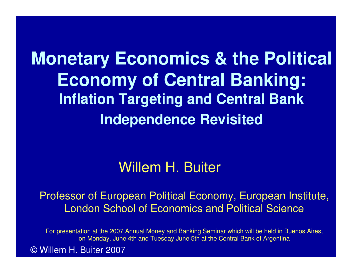**Monetary Economics & the Political Economy of Central Banking:Inflation Targeting and Central Bank Independence Revisited**

#### Willem H. Buiter

Professor of European Political Economy, European Institute, London School of Economics and Political Science

For presentation at the 2007 Annual Money and Banking Seminar which will be held in Buenos Aires, on Monday, June 4th and Tuesday June 5th at the Central Bank of Argentina

© Willem H. Buiter 2007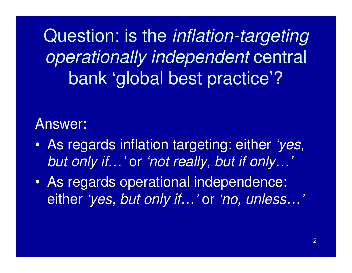Question: is the inflation-targeting operationally independent central bank 'global best practice'?

#### Answer:

- • As regards inflation targeting: either 'yes, but only if…' or 'not really, but if only…'
- $\bullet$  As regards operational independence: either *'yes, but only if…'* or *'no, unless…'*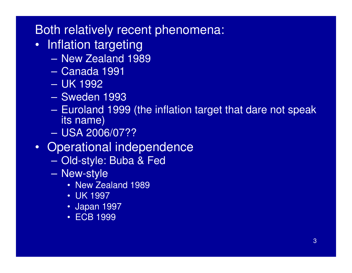#### Both relatively recent phenomena:

- Inflation targeting
	- Naw Zaaland 19 New Zealand 1989
	- **Line Communication** Canada 1991
	- –UK 1992
	- Swadar Sweden 1993
	- Furoland 190 Euroland 1999 (the inflation target that dare not speak its name)
	- **Line Communication** USA 2006/07??
- Operational independence
	- –Old-style: Buba & Fed
	- **Line Communication**  New-style
		- New Zealand 1989
		- UK 1997
		- Japan 1997
		- ECB 1999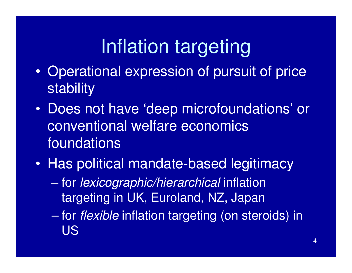# Inflation targeting

- $\bullet$  Operational expression of pursuit of price stability
- $\bullet$  Does not have 'deep microfoundations' or conventional welfare economics foundations
- $\bullet$  Has political mandate-based legitimacy
	- $\mathcal{L}_{\mathcal{A}}$  , where  $\mathcal{L}_{\mathcal{A}}$  is the set of the set of the set of the set of the set of the set of the set of the set of the set of the set of the set of the set of the set of the set of the set of the set of the for lexicographic/hierarchical inflation targeting in UK, Euroland, NZ, Japan
	- $\mathcal{L}_{\mathcal{A}}$  , where  $\mathcal{L}_{\mathcal{A}}$  is the set of the set of the set of the set of the set of the set of the set of the set of the set of the set of the set of the set of the set of the set of the set of the set of the for flexible inflation targeting (on steroids) in US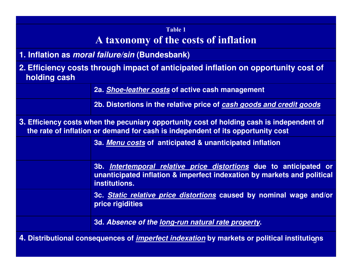#### Table 1A taxonomy of the costs of inflation

- **1. Inflation as moral failure/sin (Bundesbank)**
- **2. Efficiency costs through impact of anticipated inflation on opportunity cost ofholding cash**

**2a. Shoe-leather costs of active cash management**

**2b. Distortions in the relative price of cash goods and credit goods**

**3. Efficiency costs when the pecuniary opportunity cost of holding cash is independent ofthe rate of inflation or demand for cash is independent of its opportunity cost**

**3a. Menu costs of anticipated & unanticipated inflation**

**3b. Intertemporal relative price distortions due to anticipated or unanticipated inflation & imperfect indexation by markets and political institutions.**

**3c. Static relative price distortions caused by nominal wage and/or price rigidities**

**3d. Absence of the long-run natural rate property.**

**4. Distributional consequences of** <sup>5</sup> **imperfect indexation by markets or political institutions**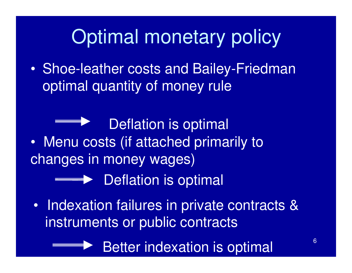# Optimal monetary policy

 $\bullet$  Shoe-leather costs and Bailey-Friedman optimal quantity of money rule

Deflation is optimal

 $\bullet$  Menu costs (if attached primarily to changes in money wages)

**Secondity Deflation is optimal** 

 $\bullet$  Indexation failures in private contracts & instruments or public contracts

Better indexation is optimal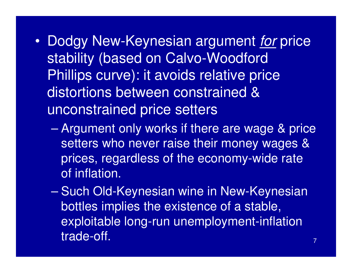- •Dodgy New-Keynesian argument *for* price stability (based on Calvo-Woodford Phillips curve): it avoids relative price distortions between constrained & unconstrained price setters
	- $\mathcal{L}_{\mathcal{A}}$  Argument only works if there are wage & price setters who never raise their money wages & prices, regardless of the economy-wide rate of inflation.
	- $\mathcal{L}_{\mathcal{A}}$  , where  $\mathcal{L}_{\mathcal{A}}$  is the set of the set of the set of the set of the set of the set of the set of the set of the set of the set of the set of the set of the set of the set of the set of the set of the Such Old-Keynesian wine in New-Keynesian bottles implies the existence of a stable, exploitable long-run unemployment-inflation trade-off.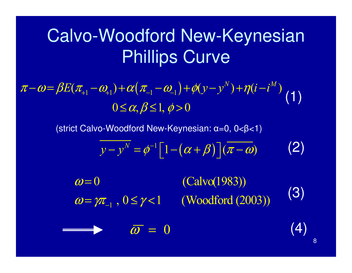### Calvo-Woodford New-Keynesian Phillips Curve

( $\pi-\omega = \beta E(\pi_{+1} - \omega_{+1}) + \alpha(\pi_{-1} - \omega_{-1}) + \phi(y - y^N) + \eta(i - i^M)$ ) $0 \le \alpha, \beta \le 1, \phi > 0$  $-\omega = \beta E(\pi_{+1} - \omega_{+1}) + \alpha(\pi_{-1} - \omega_{-1}) + \rho(y - y^{\cdots}) + \eta(z - y^{\cdots})$ +  $-1$   $-1$   $-1$   $-1$   $+1$   $+1$  $(1)$ <br>>0

(strict Calvo-Woodford New-Keynesian: α=0, 0<β<1)

$$
y - y^N = \phi^{-1} \Big[ 1 - (\alpha + \beta) \Big] (\overline{\pi - \omega}) \tag{2}
$$

1 $(Calvo(1983))$  $\omega = \gamma \pi_{-1}$ ,  $0 \le \gamma < 1$  (Woodford (2003))  $\omega=$  $=\gamma\pi_{_{-1}}\,$  ,  $0$   $\leq$   $\gamma$   $<$   $\leq$ (3)

 $\bar{\omega}=0$ 

(4)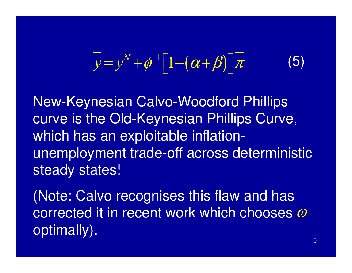$$
\overline{y} = y^N + \phi^{-1} \Big[ 1 - (\alpha + \beta) \Big] \overline{\pi}
$$
 (5)

New-Keynesian Calvo-Woodford Phillips curve is the Old-Keynesian Phillips Curve, which has an exploitable inflationunemployment trade-off across deterministic steady states!

(Note: Calvo recognises this flaw and has corrected it in recent work which chooses  $\omega$ optimally).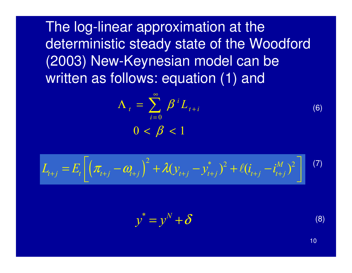The log-linear approximation at the deterministic steady state of the Woodford (2003) New-Keynesian model can be written as follows: equation (1) and

$$
\Lambda_{t} = \sum_{i=0}^{\infty} \beta^{i} L_{t+i}
$$
\n
$$
0 < \beta < 1
$$
\n(6)

$$
L_{t+j} = E_t \left[ \left( \pi_{t+j} - \omega_{t+j} \right)^2 + \lambda (\mathbf{y}_{t+j} - \mathbf{y}_{t+j}^*)^2 + \ell (i_{t+j} - i_{t+j}^M)^2 \right] \tag{7}
$$

$$
y^* = y^N + \delta \tag{8}
$$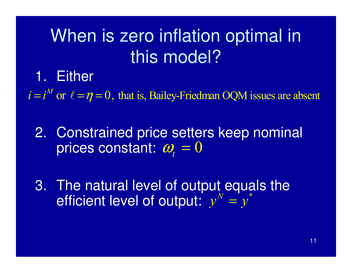## When is zero inflation optimal in this model?

#### 1. Either

 $i = i^M$  or  $\ell = \eta = 0$ , that is, Bailey-Friedman OQM issues are absent

2. Constrained price setters keep nominal prices constant:  $\bm{\omega}_{\!_t}=0$ 

3. The natural level of output equals the efficient level of output:  $y^N$ \* $y^{\prime} = y$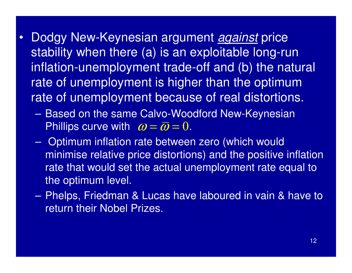- • Dodgy New-Keynesian argument against price stability when there (a) is an exploitable long-run inflation-unemployment trade-off and (b) the natural rate of unemployment is higher than the optimum rate of unemployment because of real distortions.
	- **Line Communication**  Based on the same Calvo-Woodford New-Keynesian Phillips curve with  $~\bm{\omega} \!=\! \bm{\bar{\omega}} \!=\! 0.$
	- – Optimum inflation rate between zero (which would minimise relative price distortions) and the positive inflation rate that would set the actual unemployment rate equal to the optimum level.
	- – Phelps, Friedman & Lucas have laboured in vain & have to return their Nobel Prizes.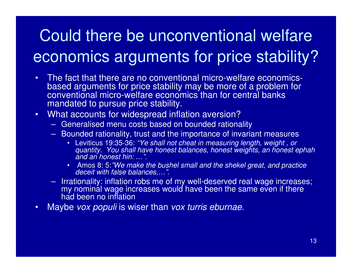### Could there be unconventional welfare economics arguments for price stability?

- • The fact that there are no conventional micro-welfare economicsbased arguments for price stability may be more of a problem forconventional micro-welfare economics than for central banks mandated to pursue price stability.
- $\bullet$  What accounts for widespread inflation aversion?
	- Generalised menu costs based on bounded rationalit y
	- Bounded rationality, trust and the importance of invariant measures
		- Leviticus 19:35-36: "Ye shall not cheat in measuring length, weight , or quantity. You shall have honest balances, honest weights, an honest ephah and an honest hin: …".
		- Amos 8: 5:"We make the bushel small and the shekel great, and practice •deceit with false balances...."
	- Irrationality: inflation robs me of my well-deserved real wage increases; my nominal wage increases would have been the same even if there had been no inflation
- Maybe vox populi is wiser than vox turris eburnae. •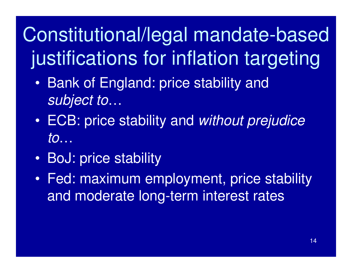# Constitutional/legal mandate-based justifications for inflation targeting

- • Bank of England: price stability and subject to…
- $\bullet$   $\vdash$   $\mathsf{I}$  . Estermined the set of  $\mathsf{I}$  ECB: price stability and without prejudice to…
- R/ BoJ: price stability
- $\bullet$  Fed: maximum employment, price stability and moderate long-term interest rates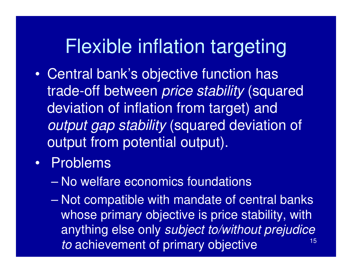### Flexible inflation targeting

- • Central bank's objective function has trade-off between *price stability* (squared deviation of inflation from target) and output gap stability (squared deviation of output from potential output).
- $\bullet$  Problems
	- $\mathcal{L}_{\mathcal{A}}$  , where  $\mathcal{L}_{\mathcal{A}}$  is the set of the set of the set of the set of the set of the set of the set of the set of the set of the set of the set of the set of the set of the set of the set of the set of the No welfare economics foundations
	- 15– Not compatible with mandate of central banks whose primary objective is price stability, with anything else only subject to/without prejudice to achievement of primary objective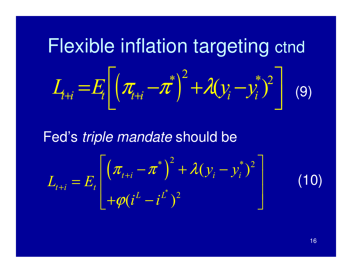**Fexible inflation targeting** *ct* 
$$
L_{\mu i} = E_{t} \left[ \left( \pi_{\mu i} - \pi^{*} \right)^{2} + \lambda (y_{i} - y_{i}^{*})^{2} \right] \tag{9}
$$

Fed's triple mandate should be

$$
L_{t+i} = E_t \left[ \left( \pi_{t+i} - \pi^* \right)^2 + \lambda (y_i - y_i^*)^2 \right] + \varphi (i^L - i^L)^2
$$

16

(10)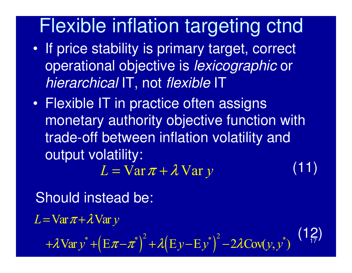## Flexible inflation targeting ctnd

- $\bullet$  If price stability is primary target, correct operational objective is lexicographic or hierarchical IT, not *flexible* IT
- $\bullet$  Flexible IT in practice often assigns monetary authority objective function with trade-off between inflation volatility and output volatility: $L = \overline{Var} \pi + \lambda \overline{Var} y$  (11)

 $(12)$ Should instead be: $Var y^* + (E \pi - \pi^*)^2 + \lambda (E y - E y^*)^2 - 2\lambda Cov(y, y^*)$  $L = \text{Var}\,\pi + \lambda \text{Var}\, y$  $+\lambda \nabla \text{ar} y^* + (E\pi - \pi^*)^T + \lambda (E y - E y^*)^T - 2\lambda \theta$  $= \text{Var}\pi +$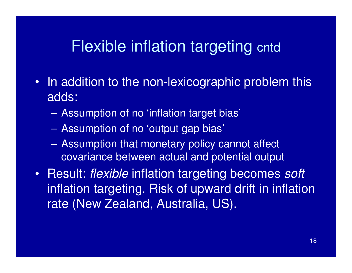#### Flexible inflation targeting cntd

- In addition to the non-lexicographic problem this adds:
	- –Assumption of no 'inflation target bias'
	- **Line Communication** Assumption of no 'output gap bias'
	- – Assumption that monetary policy cannot affect covariance between actual and potential output
- Result: flexible inflation targeting becomes soft inflation targeting. Risk of upward drift in inflation rate (New Zealand, Australia, US).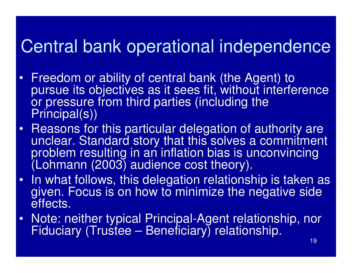### Central bank operational independence

- $\bullet$  Freedom or ability of central bank (the Agent) to pursue its objectives as it sees fit, without interference or pressure from third parties (including the Principal(s))
- • Reasons for this particular delegation of authority are unclear. Standard story that this solves a commitment problem resulting in an inflation bias is unconvincing (Lohmann (2003) audience cost theory).
- •In what follows, this delegation relationship is taken as given. Focus is on how to minimize the negative side effects.
- $\bullet$  Note: neither typical Principal-Agent relationship, nor Fiduciary (Trustee – Beneficiary) relationship.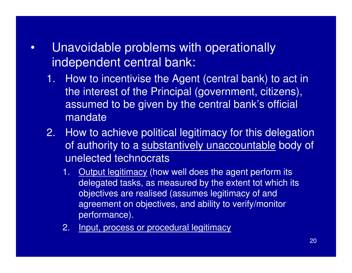- • Unavoidable problems with operationally independent central bank:
	- 1. How to incentivise the Agent (central bank) to act in the interest of the Principal (government, citizens), assumed to be given by the central bank's official mandate
	- 2. How to achieve political legitimacy for this delegation of authority to a <u>substantively unaccountable</u> body of unelected technocrats
		- 1. Output legitimacy (how well does the agent perform its delegated tasks, as measured by the extent tot which its objectives are realised (assumes legitimacy of and agreement on objectives, and ability to verify/monitor performance).
		- 2. Input, process or procedural legitimacy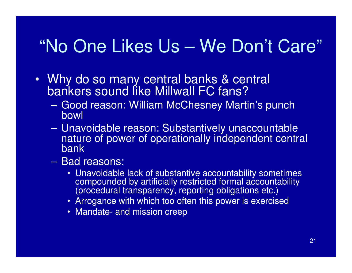### "No One Likes Us – We Don't Care"

- Why do so many central banks & central bankers sound like Millwall FC fans?
	- Linnd reason: William McChesney Mar Good reason: William McChesney Martin's punch bowl
	- – Unavoidable reason: Substantively unaccountable nature of power of operationally independent central bank
	- **Line Communication**  Bad reasons:
		- Unavoidable lack of substantive accountability sometimes compounded by artificially restricted formal accountability (procedural transparency, reporting obligations etc.)
		- Arrogance with which too often this power is exercised
		- Mandate- and mission creep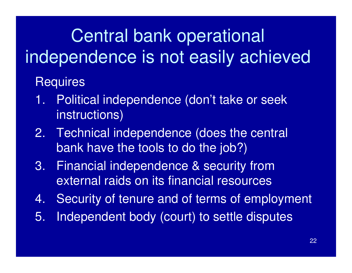# Central bank operational independence is not easily achieved

#### **Requires**

- 1. Political independence (don't take or seek instructions)
- 2. Technical independence (does the central bank have the tools to do the job?)
- 3. Financial independence & security from external raids on its financial resources
- 4. Security of tenure and of terms of employment
- 5. Independent body (court) to settle disputes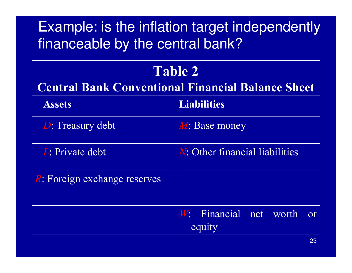#### Example: is the inflation target independently financeable by the central bank?

#### Table 2

#### Central Bank Conventional Financial Balance Sheet

| <b>Assets</b>                        | <b>Liabilities</b>                     |
|--------------------------------------|----------------------------------------|
| <b>D</b> : Treasury debt             | M: Base money                          |
| L: Private debt                      | <i>N</i> : Other financial liabilities |
| <i>R</i> : Foreign exchange reserves |                                        |
|                                      | W: Financial net worth<br>or<br>equity |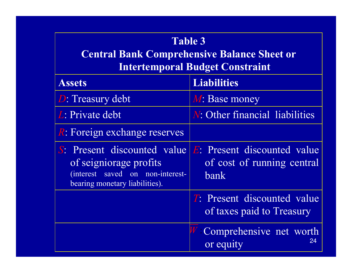| <b>Table 3</b><br><b>Central Bank Comprehensive Balance Sheet or</b><br><b>Intertemporal Budget Constraint</b>                                 |                                                                   |
|------------------------------------------------------------------------------------------------------------------------------------------------|-------------------------------------------------------------------|
| <b>Assets</b>                                                                                                                                  | <b>Liabilities</b>                                                |
| <b>D</b> : Treasury debt                                                                                                                       | M: Base money                                                     |
| L: Private debt                                                                                                                                | <i>N</i> : Other financial liabilities                            |
| <i>R</i> : Foreign exchange reserves                                                                                                           |                                                                   |
| <i>S</i> : Present discounted value<br>of seigniorage profits<br><i>(interest)</i><br>saved on non-interest-<br>bearing monetary liabilities). | E: Present discounted value<br>of cost of running central<br>bank |
|                                                                                                                                                | <b>T:</b> Present discounted value<br>of taxes paid to Treasury   |
|                                                                                                                                                | Comprehensive net worth<br>24<br>or equity                        |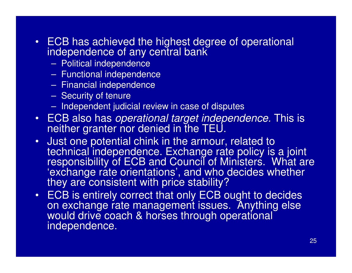- ECB has achieved the highest degree of operational independence of any central bank
	- –Political independence
	- Functional indonondo Functional independence
	- Financial indonondonco Financial independence
	- –Security of tenure
	- Indenendent iudi Independent judicial review in case of disputes
- ECB also has *operational target independence.* This is neither granter nor denied in the TEU.
- Just one potential chink in the armour, related to technical independence. Exchange rate policy is a joint responsibility of ECB and Council of Ministers. What are 'exchange rate orientations', and who decides whether<br>they are consistent with price stability?
- ECB is entirely correct that only ECB ought to decides on exchange rate management issues. Anything else would drive coach & horses through operational independence.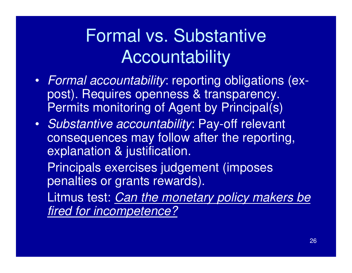### Formal vs. Substantive Accountability

- Formal accountability: reporting obligations (expost). Requires openness & transparency. Permits monitoring of Agent by Principal(s)
- Substantive accountability: Pay-off relevant consequences may follow after the reporting, explanation & justification.

Principals exercises judgement (imposes penalties or grants rewards).

Litmus test: Can the monetary policy makers be fired for incompetence?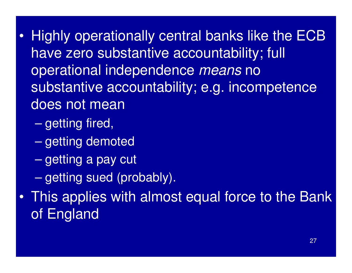- $\bullet$  Highly operationally central banks like the ECB have zero substantive accountability; full operational independence means no substantive accountability; e.g. incompetence does not mean
	- $\mathcal{L}_{\mathcal{A}}$  , where  $\mathcal{L}_{\mathcal{A}}$  is the set of the set of the set of the set of the set of the set of the set of the set of the set of the set of the set of the set of the set of the set of the set of the set of the getting fired,
	- $\mathcal{L}_{\mathcal{A}}$  , where  $\mathcal{L}_{\mathcal{A}}$  is the set of the set of the set of the set of the set of the set of the set of the set of the set of the set of the set of the set of the set of the set of the set of the set of the getting demoted
	- $\mathcal{L}_{\mathcal{A}}$ getting a pay cut
	- $\mathcal{L}_{\mathcal{A}}$  , where  $\mathcal{L}_{\mathcal{A}}$  is the set of the set of the set of the set of the set of the set of the set of the set of the set of the set of the set of the set of the set of the set of the set of the set of the getting sued (probably).
- • This applies with almost equal force to the Bank of England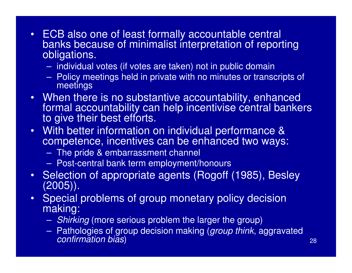- ECB also one of least formally accountable central banks because of minimalist interpretation of reporting obligations.
	- individual votes (if votes are taken) not in public domain
	- $-$  Policy meetings held in private with no minutes or trang Policy meetings held in private with no minutes or transcripts of meetings
- When there is no substantive accountability, enhanced formal accountability can help incentivise central bankers to give their best efforts.
- With better information on individual performance & competence, incentives can be enhanced two ways:
	- The pride & embarrassment channel
	- Post-central bank term employment/honours
- Selection of appropriate agents (Rogoff (1985), Besley (2005)).
- $\bullet$  Special problems of group monetary policy decisionmaking:
	- Shirking (more serious problem the larger the group)
	- Pathologies of group decision making (*group think*, aggravated confirmation bias)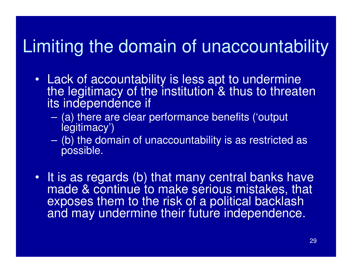### Limiting the domain of unaccountability

- Lack of accountability is less apt to undermine the legitimacy of the institution & thus to threaten its independence if
	- – (a) there are clear performance benefits ('output legitimacy')
	- – (b) the domain of unaccountability is as restricted as possible.
- It is as regards (b) that many central banks have made & continue to make serious mistakes, that exposes them to the risk of a political backlash and may undermine their future independence.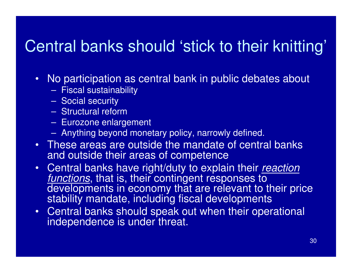### Central banks should 'stick to their knitting'

- No participation as central bank in public debates about
	- –Fiscal sustainability
	- –Social security
	- Structural rafr Structural reform
	- —————————————— Eurozone enlargement
	- –Anything beyond monetary policy, narrowly defined.
- These areas are outside the mandate of central banks and outside their areas of competence
- Central banks have right/duty to explain their *reaction* functions, that is, their contingent responses to developments in economy that are relevant to their price stability mandate, including fiscal developments
- Central banks should speak out when their operational independence is under threat.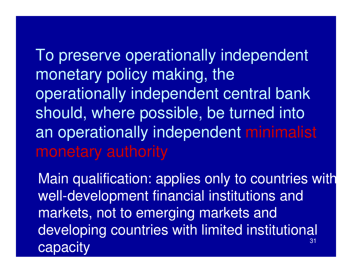To preserve operationally independent monetary policy making, the operationally independent central bank should, where possible, be turned into an operationally independent minimalist monetary authority

31Main qualification: applies only to countries with well-development financial institutions and markets, not to emerging markets and developing countries with limited institutional capacity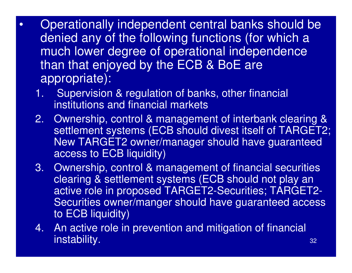- $\bullet$  Operationally independent central banks should be denied any of the following functions (for which a much lower degree of operational independence than that enjoyed by the ECB & BoE are appropriate):
	- 1. Supervision & regulation of banks, other financial institutions and financial markets
	- 2. Ownership, control & management of interbank clearing & settlement systems (ECB should divest itself of TARGET2; New TARGET2 owner/manager should have guaranteed access to ECB liquidity)
	- 3. Ownership, control & management of financial securities clearing & settlement systems (ECB should not play an active role in proposed TARGET2-Securities; TARGET2 Securities owner/manger should have guaranteed access to ECB liquidity)
	- 4. An active role in prevention and mitigation of financial instability.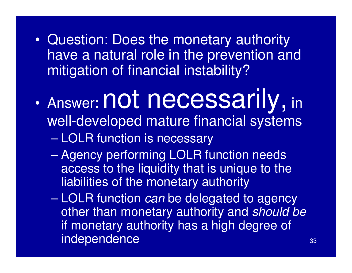- • Question: Does the monetary authority have a natural role in the prevention and mitigation of financial instability?
- $\bullet$ Answer: **not necessarily**, in well-developed mature financial systems– LOLR function is necessary
	- $\mathcal{L}_{\mathcal{A}}$  , where  $\mathcal{L}_{\mathcal{A}}$  is the set of the set of the set of the set of the set of the set of the set of the set of the set of the set of the set of the set of the set of the set of the set of the set of the Agency performing LOLR function needs access to the liquidity that is unique to the liabilities of the monetary authority
	- $\mathcal{L}_{\mathcal{A}}$  , where  $\mathcal{L}_{\mathcal{A}}$  is the set of the set of the set of the set of the set of the set of the set of the set of the set of the set of the set of the set of the set of the set of the set of the set of the LOLR function *can* be delegated to agency other than monetary authority and should be if monetary authority has a high degree of independence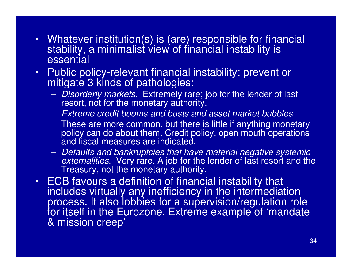- Whatever institution(s) is (are) responsible for financial stability, a minimalist view of financial instability is essential
- • Public policy-relevant financial instability: prevent or mitigate 3 kinds of pathologies:
	- –- Disorderly markets. Extremely rare; job for the lender of last resort, not for the monetary authority.
	- – $-$  Extreme credit booms and busts and asset market bubbles. These are more common, but there is little if anything monetary policy can do about them. Credit policy, open mouth operations and fiscal measures are indicated.
	- –- Defaults and bankruptcies that have material negative systemic<br>externalities. Nexy rare A job for the leader of lest resert and the *externalities*. Very rare. A job for the lender of last resort and the<br>Treasury, not the monetary authority.
- ECB favours a definition of financial instability that includes virtually any inefficiency in the intermediation process. It also lobbies for a supervision/regulation role for itself in the Eurozone. Extreme example of 'mandate & mission creep'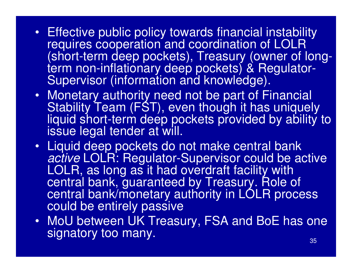- Effective public policy towards financial instability requires cooperation and coordination of LOLR (short-term deep pockets), Treasury (owner of longterm non-inflationary deep pockets) & Regulator-Supervisor (information and knowledge).
- Monetary authority need not be part of Financial Stability Team (FST), even though it has uniquely liquid short-term deep pockets provided by ability to issue legal tender at will.
- Liquid deep pockets do not make central bank active LOLR: Regulator-Supervisor could be active<br>LOLD as lang as it had averdraft facility with LOLR, as long as it had overdraft facility with central bank, guaranteed by Treasury. Role of central bank/monetary authority in LOLR process could be entirely passive
- MoU between UK Treasury, FSA and BoE has one signatory too many.